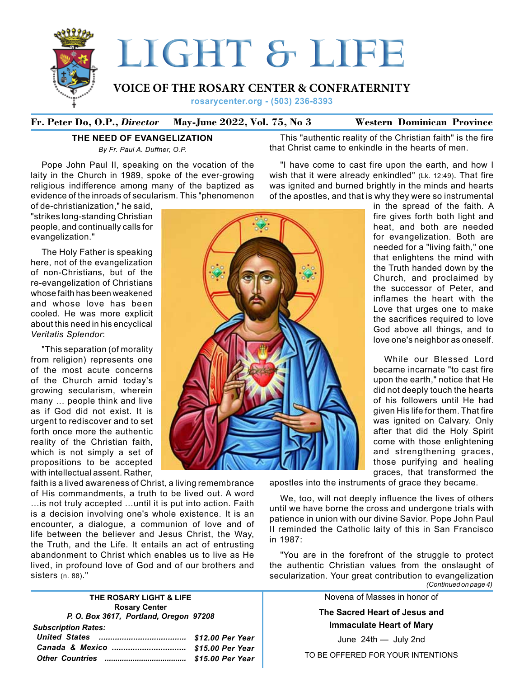

# **Fr. Peter Do, O.P.,** *Director* **May-June 2022, Vol. 75, No 3 Western Dominican Province**

# **The Need of Evangelization**

*By Fr. Paul A. Duffner, O.P.*

Pope John Paul II, speaking on the vocation of the laity in the Church in 1989, spoke of the ever-growing religious indifference among many of the baptized as evidence of the inroads of secularism. This "phenomenon

of de-christianization," he said, "strikes long-standing Christian people, and continually calls for evangelization."

The Holy Father is speaking here, not of the evangelization of non-Christians, but of the re-evangelization of Christians whose faith has been weakened and whose love has been cooled. He was more explicit about this need in his encyclical *Veritatis Splendor*:

"This separation (of morality from religion) represents one of the most acute concerns of the Church amid today's growing secularism, wherein many … people think and live as if God did not exist. It is urgent to rediscover and to set forth once more the authentic reality of the Christian faith, which is not simply a set of propositions to be accepted with intellectual assent. Rather,

faith is a lived awareness of Christ, a living remembrance of His commandments, a truth to be lived out. A word …is not truly accepted …until it is put into action. Faith is a decision involving one's whole existence. It is an encounter, a dialogue, a communion of love and of life between the believer and Jesus Christ, the Way, the Truth, and the Life. It entails an act of entrusting abandonment to Christ which enables us to live as He lived, in profound love of God and of our brothers and sisters (n. 88)."

#### **THE ROSARY LIGHT & LIFE Rosary Center** *P. O. Box 3617, Portland, Oregon 97208 Subscription Rates:*

| Subscription Rates: |  |
|---------------------|--|
|                     |  |
|                     |  |
|                     |  |
|                     |  |



that Christ came to enkindle in the hearts of men. "I have come to cast fire upon the earth, and how I wish that it were already enkindled" (Lk. 12:49). That fire was ignited and burned brightly in the minds and hearts

of the apostles, and that is why they were so instrumental

This "authentic reality of the Christian faith" is the fire

in the spread of the faith. A fire gives forth both light and heat, and both are needed for evangelization. Both are needed for a "living faith," one that enlightens the mind with the Truth handed down by the Church, and proclaimed by the successor of Peter, and inflames the heart with the Love that urges one to make the sacrifices required to love God above all things, and to love one's neighbor as oneself.

While our Blessed Lord became incarnate "to cast fire upon the earth," notice that He did not deeply touch the hearts of his followers until He had given His life for them. That fire was ignited on Calvary. Only after that did the Holy Spirit come with those enlightening and strengthening graces, those purifying and healing graces, that transformed the

apostles into the instruments of grace they became.

We, too, will not deeply influence the lives of others until we have borne the cross and undergone trials with patience in union with our divine Savior. Pope John Paul II reminded the Catholic laity of this in San Francisco in 1987:

"You are in the forefront of the struggle to protect the authentic Christian values from the onslaught of secularization. Your great contribution to evangelization *(Continued on page 4)*

Novena of Masses in honor of

**The Sacred Heart of Jesus and Immaculate Heart of Mary**

June 24th — July 2nd

TO BE OFFERED FOR YOUR INTENTIONS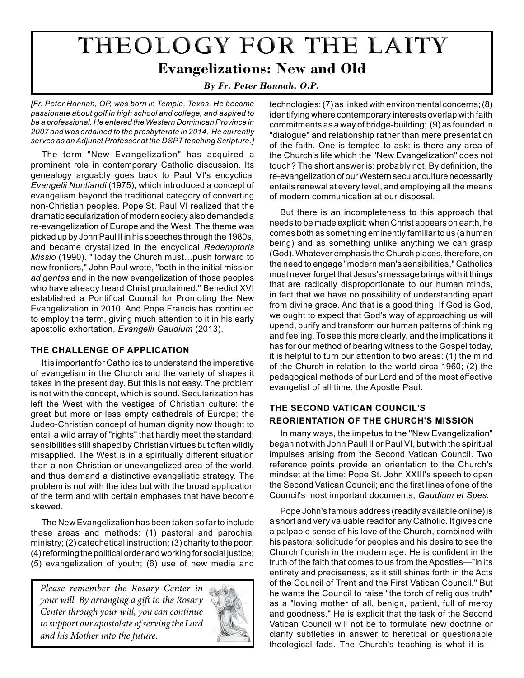# THEOLOGY FOR THE LAITY **Evangelizations: New and Old**

*By Fr. Peter Hannah, O.P.* 

*[Fr. Peter Hannah, OP, was born in Temple, Texas. He became passionate about golf in high school and college, and aspired to be a professional. He entered the Western Dominican Province in 2007 and was ordained to the presbyterate in 2014. He currently serves as an Adjunct Professor at the DSPT teaching Scripture.]*

The term "New Evangelization" has acquired a prominent role in contemporary Catholic discussion. Its genealogy arguably goes back to Paul VI's encyclical *Evangelii Nuntiandi* (1975), which introduced a concept of evangelism beyond the traditional category of converting non-Christian peoples. Pope St. Paul VI realized that the dramatic secularization of modern society also demanded a re-evangelization of Europe and the West. The theme was picked up by John Paul II in his speeches through the 1980s, and became crystallized in the encyclical *Redemptoris Missio* (1990). "Today the Church must…push forward to new frontiers," John Paul wrote, "both in the initial mission *ad gentes* and in the new evangelization of those peoples who have already heard Christ proclaimed." Benedict XVI established a Pontifical Council for Promoting the New Evangelization in 2010. And Pope Francis has continued to employ the term, giving much attention to it in his early apostolic exhortation, *Evangelii Gaudium* (2013).

# **The Challenge of Application**

It is important for Catholics to understand the imperative of evangelism in the Church and the variety of shapes it takes in the present day. But this is not easy. The problem is not with the concept, which is sound. Secularization has left the West with the vestiges of Christian culture: the great but more or less empty cathedrals of Europe; the Judeo-Christian concept of human dignity now thought to entail a wild array of "rights" that hardly meet the standard; sensibilities still shaped by Christian virtues but often wildly misapplied. The West is in a spiritually different situation than a non-Christian or unevangelized area of the world, and thus demand a distinctive evangelistic strategy. The problem is not with the idea but with the broad application of the term and with certain emphases that have become skewed.

The New Evangelization has been taken so far to include these areas and methods: (1) pastoral and parochial ministry; (2) catechetical instruction; (3) charity to the poor; (4) reforming the political order and working for social justice; (5) evangelization of youth; (6) use of new media and

*Please remember the Rosary Center in your will. By arranging a gift to the Rosary Center through your will, you can continue to support our apostolate of serving the Lord and his Mother into the future.*



technologies; (7) as linked with environmental concerns; (8) identifying where contemporary interests overlap with faith commitments as a way of bridge-building; (9) as founded in "dialogue" and relationship rather than mere presentation of the faith. One is tempted to ask: is there any area of the Church's life which the "New Evangelization" does not touch? The short answer is: probably not. By definition, the re-evangelization of our Western secular culture necessarily entails renewal at every level, and employing all the means of modern communication at our disposal.

But there is an incompleteness to this approach that needs to be made explicit: when Christ appears on earth, he comes both as something eminently familiar to us (a human being) and as something unlike anything we can grasp (God). Whatever emphasis the Church places, therefore, on the need to engage "modern man's sensibilities," Catholics must never forget that Jesus's message brings with it things that are radically disproportionate to our human minds, in fact that we have no possibility of understanding apart from divine grace. And that is a good thing. If God is God, we ought to expect that God's way of approaching us will upend, purify and transform our human patterns of thinking and feeling. To see this more clearly, and the implications it has for our method of bearing witness to the Gospel today, it is helpful to turn our attention to two areas: (1) the mind of the Church in relation to the world circa 1960; (2) the pedagogical methods of our Lord and of the most effective evangelist of all time, the Apostle Paul.

# **The Second Vatican Council's Reorientation of the Church's Mission**

In many ways, the impetus to the "New Evangelization" began not with John Paull II or Paul VI, but with the spiritual impulses arising from the Second Vatican Council. Two reference points provide an orientation to the Church's mindset at the time: Pope St. John XXIII's speech to open the Second Vatican Council; and the first lines of one of the Council's most important documents, *Gaudium et Spes*.

Pope John's famous address (readily available online) is a short and very valuable read for any Catholic. It gives one a palpable sense of his love of the Church, combined with his pastoral solicitude for peoples and his desire to see the Church flourish in the modern age. He is confident in the truth of the faith that comes to us from the Apostles—"in its entirety and preciseness, as it still shines forth in the Acts of the Council of Trent and the First Vatican Council." But he wants the Council to raise "the torch of religious truth" as a "loving mother of all, benign, patient, full of mercy and goodness." He is explicit that the task of the Second Vatican Council will not be to formulate new doctrine or clarify subtleties in answer to heretical or questionable theological fads. The Church's teaching is what it is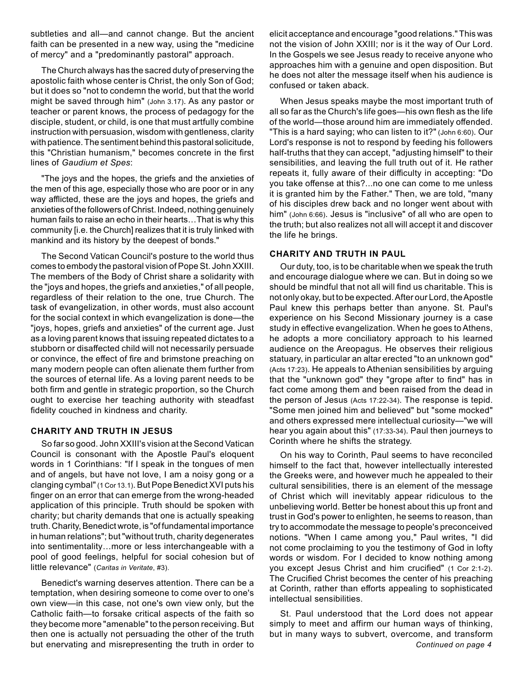subtleties and all—and cannot change. But the ancient faith can be presented in a new way, using the "medicine of mercy" and a "predominantly pastoral" approach.

The Church always has the sacred duty of preserving the apostolic faith whose center is Christ, the only Son of God; but it does so "not to condemn the world, but that the world might be saved through him" (John 3.17). As any pastor or teacher or parent knows, the process of pedagogy for the disciple, student, or child, is one that must artfully combine instruction with persuasion, wisdom with gentleness, clarity with patience. The sentiment behind this pastoral solicitude, this "Christian humanism," becomes concrete in the first lines of *Gaudium et Spes*:

"The joys and the hopes, the griefs and the anxieties of the men of this age, especially those who are poor or in any way afflicted, these are the joys and hopes, the griefs and anxieties of the followers of Christ. Indeed, nothing genuinely human fails to raise an echo in their hearts…That is why this community [i.e. the Church] realizes that it is truly linked with mankind and its history by the deepest of bonds."

The Second Vatican Council's posture to the world thus comes to embody the pastoral vision of Pope St. John XXIII. The members of the Body of Christ share a solidarity with the "joys and hopes, the griefs and anxieties," of all people, regardless of their relation to the one, true Church. The task of evangelization, in other words, must also account for the social context in which evangelization is done—the "joys, hopes, griefs and anxieties" of the current age. Just as a loving parent knows that issuing repeated dictates to a stubborn or disaffected child will not necessarily persuade or convince, the effect of fire and brimstone preaching on many modern people can often alienate them further from the sources of eternal life. As a loving parent needs to be both firm and gentle in strategic proportion, so the Church ought to exercise her teaching authority with steadfast fidelity couched in kindness and charity.

# **Charity and Truth in Jesus**

So far so good. John XXIII's vision at the Second Vatican Council is consonant with the Apostle Paul's eloquent words in 1 Corinthians: "If I speak in the tongues of men and of angels, but have not love, I am a noisy gong or a clanging cymbal" (1 Cor 13.1). But Pope Benedict XVI puts his finger on an error that can emerge from the wrong-headed application of this principle. Truth should be spoken with charity; but charity demands that one is actually speaking truth. Charity, Benedict wrote, is "of fundamental importance in human relations"; but "without truth, charity degenerates into sentimentality…more or less interchangeable with a pool of good feelings, helpful for social cohesion but of little relevance" (*Caritas in Veritate*, #3).

Benedict's warning deserves attention. There can be a temptation, when desiring someone to come over to one's own view—in this case, not one's own view only, but the Catholic faith—to forsake critical aspects of the faith so they become more "amenable" to the person receiving. But then one is actually not persuading the other of the truth but enervating and misrepresenting the truth in order to *Continued on page 4* 

elicit acceptance and encourage "good relations." This was not the vision of John XXIII; nor is it the way of Our Lord. In the Gospels we see Jesus ready to receive anyone who approaches him with a genuine and open disposition. But he does not alter the message itself when his audience is confused or taken aback.

When Jesus speaks maybe the most important truth of all so far as the Church's life goes—his own flesh as the life of the world—those around him are immediately offended. "This is a hard saying; who can listen to it?" (John 6:60). Our Lord's response is not to respond by feeding his followers half-truths that they can accept, "adjusting himself" to their sensibilities, and leaving the full truth out of it. He rather repeats it, fully aware of their difficulty in accepting: "Do you take offense at this?...no one can come to me unless it is granted him by the Father." Then, we are told, "many of his disciples drew back and no longer went about with him" (John 6:66). Jesus is "inclusive" of all who are open to the truth; but also realizes not all will accept it and discover the life he brings.

# **Charity and Truth in paul**

Our duty, too, is to be charitable when we speak the truth and encourage dialogue where we can. But in doing so we should be mindful that not all will find us charitable. This is not only okay, but to be expected. After our Lord, the Apostle Paul knew this perhaps better than anyone. St. Paul's experience on his Second Missionary journey is a case study in effective evangelization. When he goes to Athens, he adopts a more conciliatory approach to his learned audience on the Areopagus. He observes their religious statuary, in particular an altar erected "to an unknown god" (Acts 17:23). He appeals to Athenian sensibilities by arguing that the "unknown god" they "grope after to find" has in fact come among them and been raised from the dead in the person of Jesus (Acts 17:22-34). The response is tepid. "Some men joined him and believed" but "some mocked" and others expressed mere intellectual curiosity—"we will hear you again about this" (17:33-34). Paul then journeys to Corinth where he shifts the strategy.

On his way to Corinth, Paul seems to have reconciled himself to the fact that, however intellectually interested the Greeks were, and however much he appealed to their cultural sensibilities, there is an element of the message of Christ which will inevitably appear ridiculous to the unbelieving world. Better be honest about this up front and trust in God's power to enlighten, he seems to reason, than try to accommodate the message to people's preconceived notions. "When I came among you," Paul writes, "I did not come proclaiming to you the testimony of God in lofty words or wisdom. For I decided to know nothing among you except Jesus Christ and him crucified" (1 Cor 2:1-2). The Crucified Christ becomes the center of his preaching at Corinth, rather than efforts appealing to sophisticated intellectual sensibilities.

St. Paul understood that the Lord does not appear simply to meet and affirm our human ways of thinking, but in many ways to subvert, overcome, and transform